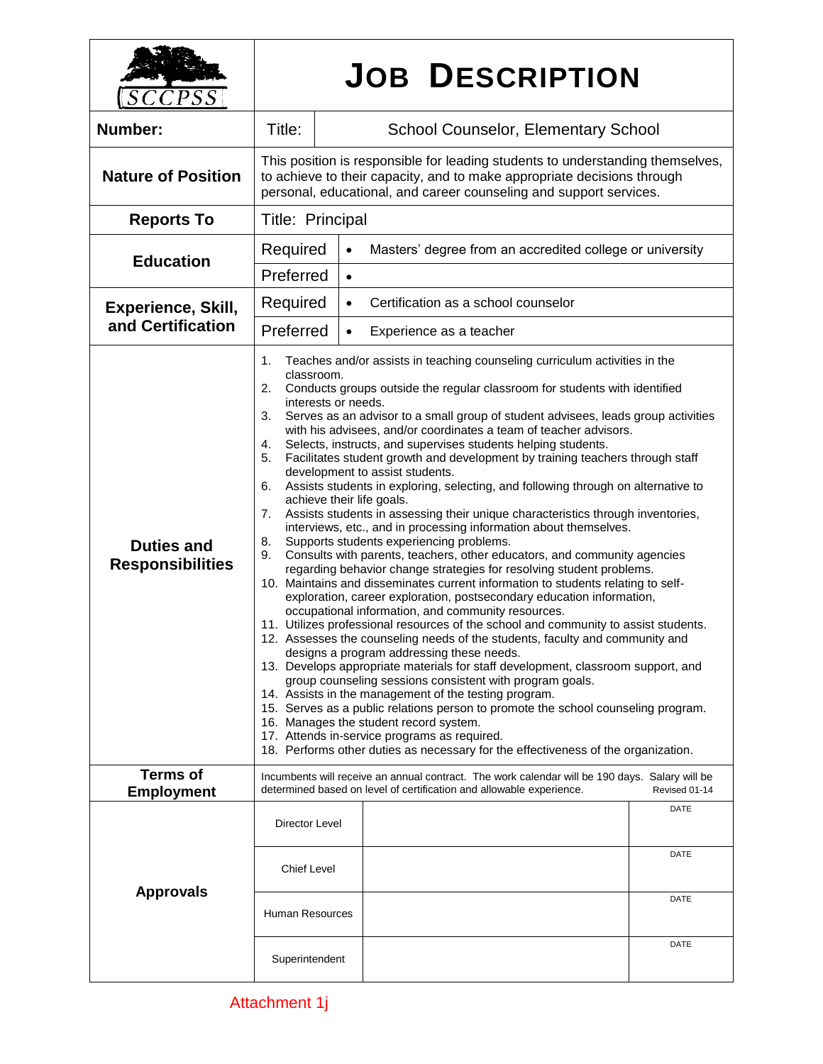| $\mathcal{LCPSS}$                              | <b>JOB DESCRIPTION</b>                                                                                                                                                                                                                                                                                                                                                                                                                                                                                                                                                                                                                                                                                                                                                                                                                                                                                                                                                                                                                                                                                                                                                                                                                                                                                                                                                                                                                                                                                                                                                                                                                                                                                                                                                                                                                                                                                                                                                                           |                                                                       |              |
|------------------------------------------------|--------------------------------------------------------------------------------------------------------------------------------------------------------------------------------------------------------------------------------------------------------------------------------------------------------------------------------------------------------------------------------------------------------------------------------------------------------------------------------------------------------------------------------------------------------------------------------------------------------------------------------------------------------------------------------------------------------------------------------------------------------------------------------------------------------------------------------------------------------------------------------------------------------------------------------------------------------------------------------------------------------------------------------------------------------------------------------------------------------------------------------------------------------------------------------------------------------------------------------------------------------------------------------------------------------------------------------------------------------------------------------------------------------------------------------------------------------------------------------------------------------------------------------------------------------------------------------------------------------------------------------------------------------------------------------------------------------------------------------------------------------------------------------------------------------------------------------------------------------------------------------------------------------------------------------------------------------------------------------------------------|-----------------------------------------------------------------------|--------------|
| Number:                                        | Title:                                                                                                                                                                                                                                                                                                                                                                                                                                                                                                                                                                                                                                                                                                                                                                                                                                                                                                                                                                                                                                                                                                                                                                                                                                                                                                                                                                                                                                                                                                                                                                                                                                                                                                                                                                                                                                                                                                                                                                                           | <b>School Counselor, Elementary School</b>                            |              |
| <b>Nature of Position</b>                      | This position is responsible for leading students to understanding themselves,<br>to achieve to their capacity, and to make appropriate decisions through<br>personal, educational, and career counseling and support services.                                                                                                                                                                                                                                                                                                                                                                                                                                                                                                                                                                                                                                                                                                                                                                                                                                                                                                                                                                                                                                                                                                                                                                                                                                                                                                                                                                                                                                                                                                                                                                                                                                                                                                                                                                  |                                                                       |              |
| <b>Reports To</b>                              | Title: Principal                                                                                                                                                                                                                                                                                                                                                                                                                                                                                                                                                                                                                                                                                                                                                                                                                                                                                                                                                                                                                                                                                                                                                                                                                                                                                                                                                                                                                                                                                                                                                                                                                                                                                                                                                                                                                                                                                                                                                                                 |                                                                       |              |
| <b>Education</b>                               | Required                                                                                                                                                                                                                                                                                                                                                                                                                                                                                                                                                                                                                                                                                                                                                                                                                                                                                                                                                                                                                                                                                                                                                                                                                                                                                                                                                                                                                                                                                                                                                                                                                                                                                                                                                                                                                                                                                                                                                                                         | Masters' degree from an accredited college or university<br>$\bullet$ |              |
|                                                | Preferred<br>$\bullet$                                                                                                                                                                                                                                                                                                                                                                                                                                                                                                                                                                                                                                                                                                                                                                                                                                                                                                                                                                                                                                                                                                                                                                                                                                                                                                                                                                                                                                                                                                                                                                                                                                                                                                                                                                                                                                                                                                                                                                           |                                                                       |              |
| <b>Experience, Skill,</b><br>and Certification | Required<br>Certification as a school counselor<br>$\bullet$                                                                                                                                                                                                                                                                                                                                                                                                                                                                                                                                                                                                                                                                                                                                                                                                                                                                                                                                                                                                                                                                                                                                                                                                                                                                                                                                                                                                                                                                                                                                                                                                                                                                                                                                                                                                                                                                                                                                     |                                                                       |              |
|                                                | Preferred<br>Experience as a teacher<br>$\bullet$                                                                                                                                                                                                                                                                                                                                                                                                                                                                                                                                                                                                                                                                                                                                                                                                                                                                                                                                                                                                                                                                                                                                                                                                                                                                                                                                                                                                                                                                                                                                                                                                                                                                                                                                                                                                                                                                                                                                                |                                                                       |              |
| <b>Duties and</b><br><b>Responsibilities</b>   | Teaches and/or assists in teaching counseling curriculum activities in the<br>1.<br>classroom.<br>Conducts groups outside the regular classroom for students with identified<br>2.<br>interests or needs.<br>3.<br>Serves as an advisor to a small group of student advisees, leads group activities<br>with his advisees, and/or coordinates a team of teacher advisors.<br>Selects, instructs, and supervises students helping students.<br>4.<br>Facilitates student growth and development by training teachers through staff<br>5.<br>development to assist students.<br>Assists students in exploring, selecting, and following through on alternative to<br>6.<br>achieve their life goals.<br>Assists students in assessing their unique characteristics through inventories,<br>7.<br>interviews, etc., and in processing information about themselves.<br>Supports students experiencing problems.<br>8.<br>Consults with parents, teachers, other educators, and community agencies<br>9.<br>regarding behavior change strategies for resolving student problems.<br>10. Maintains and disseminates current information to students relating to self-<br>exploration, career exploration, postsecondary education information,<br>occupational information, and community resources.<br>11. Utilizes professional resources of the school and community to assist students.<br>12. Assesses the counseling needs of the students, faculty and community and<br>designs a program addressing these needs.<br>13. Develops appropriate materials for staff development, classroom support, and<br>group counseling sessions consistent with program goals.<br>14. Assists in the management of the testing program.<br>15. Serves as a public relations person to promote the school counseling program.<br>16. Manages the student record system.<br>17. Attends in-service programs as required.<br>18. Performs other duties as necessary for the effectiveness of the organization. |                                                                       |              |
| <b>Terms of</b><br><b>Employment</b>           | Incumbents will receive an annual contract. The work calendar will be 190 days. Salary will be<br>determined based on level of certification and allowable experience.<br>Revised 01-14                                                                                                                                                                                                                                                                                                                                                                                                                                                                                                                                                                                                                                                                                                                                                                                                                                                                                                                                                                                                                                                                                                                                                                                                                                                                                                                                                                                                                                                                                                                                                                                                                                                                                                                                                                                                          |                                                                       |              |
| <b>Approvals</b>                               | Director Level<br><b>Chief Level</b>                                                                                                                                                                                                                                                                                                                                                                                                                                                                                                                                                                                                                                                                                                                                                                                                                                                                                                                                                                                                                                                                                                                                                                                                                                                                                                                                                                                                                                                                                                                                                                                                                                                                                                                                                                                                                                                                                                                                                             |                                                                       | DATE<br>DATE |
|                                                | <b>Human Resources</b>                                                                                                                                                                                                                                                                                                                                                                                                                                                                                                                                                                                                                                                                                                                                                                                                                                                                                                                                                                                                                                                                                                                                                                                                                                                                                                                                                                                                                                                                                                                                                                                                                                                                                                                                                                                                                                                                                                                                                                           |                                                                       | DATE         |
|                                                | Superintendent                                                                                                                                                                                                                                                                                                                                                                                                                                                                                                                                                                                                                                                                                                                                                                                                                                                                                                                                                                                                                                                                                                                                                                                                                                                                                                                                                                                                                                                                                                                                                                                                                                                                                                                                                                                                                                                                                                                                                                                   |                                                                       | DATE         |

٦

 $\Gamma$ 

 $\mathbf{I}$